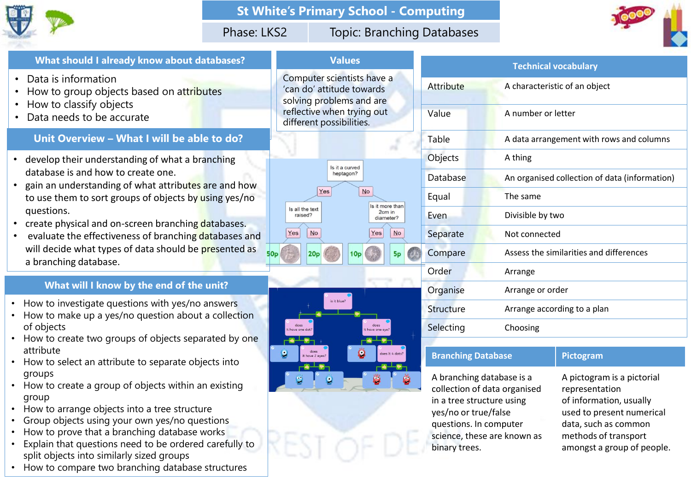

# **St White's Primary School - Computing**

# Phase: LKS2 Topic: Branching Databases

Is it more than

2cm in

diameter?

 $No$ 

Yes



### **What should I already know about databases?**

- Data is information
- How to group objects based on attributes
- How to classify objects
- Data needs to be accurate

# **Unit Overview – What I will be able to do?**

- develop their understanding of what a branching database is and how to create one.
- gain an understanding of what attributes are and how to use them to sort groups of objects by using yes/no questions.
- create physical and on-screen branching databases.
- evaluate the effectiveness of branching databases and will decide what types of data should be presented as a branching database.

### **What will I know by the end of the unit?**

- How to investigate questions with yes/no answers
- How to make up a yes/no question about a collection of objects
- How to create two groups of objects separated by one attribute
- How to select an attribute to separate objects into groups
- How to create a group of objects within an existing group
- How to arrange objects into a tree structure
- Group objects using your own yes/no questions
- How to prove that a branching database works
- Explain that questions need to be ordered carefully to split objects into similarly sized groups
- How to compare two branching database structures

|           | <b>Technical vocabulary</b>                   |
|-----------|-----------------------------------------------|
| Attribute | A characteristic of an object                 |
| Value     | A number or letter                            |
| Table     | A data arrangement with rows and columns      |
| Objects   | A thing                                       |
| Database  | An organised collection of data (information) |
| Equal     | The same                                      |
| Even      | Divisible by two                              |
| Separate  | Not connected                                 |
| Compare   | Assess the similarities and differences       |
| Order     | Arrange                                       |
| Organise  | Arrange or order                              |
| Structure | Arrange according to a plan                   |
| Selecting | Choosing                                      |
|           |                                               |

# **Branching Database Pictogram**

A branching database is a collection of data organised in a tree structure using yes/no or true/false questions. In computer science, these are known as binary trees.

| A pictogram is a pictorial |
|----------------------------|
| representation             |
| of information, usually    |
| used to present numerical  |
| data, such as common       |
| methods of transport       |
| amongst a group of people. |
|                            |

Computer scientists have a 'can do' attitude towards solving problems and are reflective when trying out different possibilities.

> Is it a curved heptagon?

Is all the text

raised?

Yes

have one of

 $No$ 

20<sub>D</sub>

is it blue?

**Values**